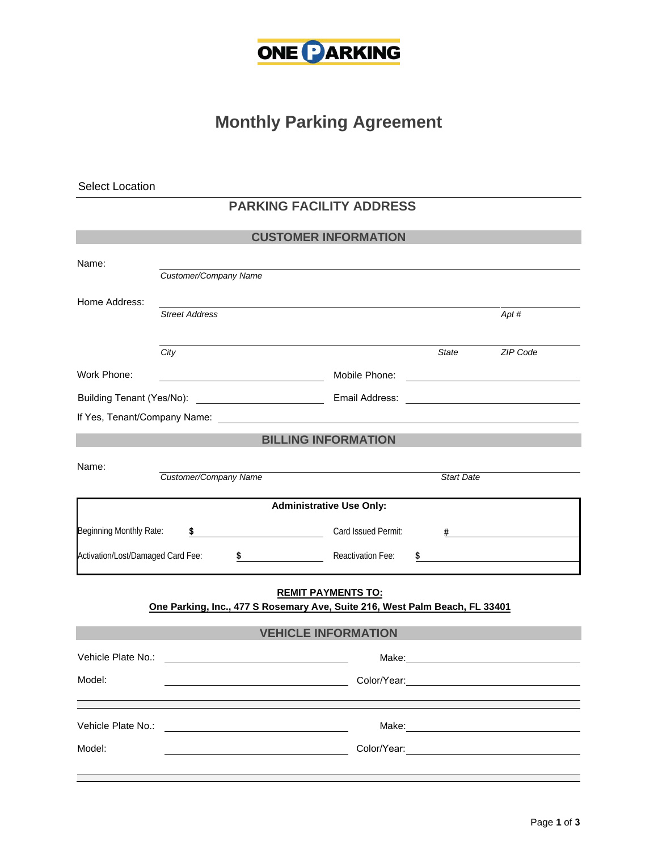

## **Monthly Parking Agreement**

Select Location

## **PARKING FACILITY ADDRESS**

| <b>CUSTOMER INFORMATION</b>                                                 |                                                                                                                |                            |                   |                                                    |
|-----------------------------------------------------------------------------|----------------------------------------------------------------------------------------------------------------|----------------------------|-------------------|----------------------------------------------------|
| Name:                                                                       |                                                                                                                |                            |                   |                                                    |
|                                                                             | Customer/Company Name                                                                                          |                            |                   |                                                    |
| Home Address:                                                               |                                                                                                                |                            |                   |                                                    |
|                                                                             | <b>Street Address</b>                                                                                          |                            |                   | Apt #                                              |
|                                                                             |                                                                                                                |                            |                   |                                                    |
|                                                                             | City                                                                                                           |                            | <b>State</b>      | ZIP Code                                           |
| Work Phone:                                                                 | <u> 1989 - Johann Barnett, fransk politik (</u>                                                                |                            |                   |                                                    |
|                                                                             |                                                                                                                |                            |                   | <u> 2002 - John Stone, Amerikaansk politiker (</u> |
|                                                                             | If Yes, Tenant/Company Name: We are a state of the state of the state of the state of the state of the state o |                            |                   |                                                    |
| <b>BILLING INFORMATION</b>                                                  |                                                                                                                |                            |                   |                                                    |
| Name:                                                                       |                                                                                                                |                            |                   |                                                    |
|                                                                             | Customer/Company Name                                                                                          |                            | <b>Start Date</b> |                                                    |
| <b>Administrative Use Only:</b>                                             |                                                                                                                |                            |                   |                                                    |
| Beginning Monthly Rate:                                                     | $\sim$ $\sim$                                                                                                  | Card Issued Permit:        |                   | $\#$ and $\#$ and $\#$ and $\#$                    |
|                                                                             |                                                                                                                |                            |                   |                                                    |
| Activation/Lost/Damaged Card Fee:                                           |                                                                                                                | \$ Reactivation Fee:<br>\$ |                   |                                                    |
| <b>REMIT PAYMENTS TO:</b>                                                   |                                                                                                                |                            |                   |                                                    |
| One Parking, Inc., 477 S Rosemary Ave, Suite 216, West Palm Beach, FL 33401 |                                                                                                                |                            |                   |                                                    |
| <b>VEHICLE INFORMATION</b>                                                  |                                                                                                                |                            |                   |                                                    |
| Vehicle Plate No.:                                                          |                                                                                                                |                            |                   |                                                    |
|                                                                             | <u> 1989 - Andrea Station Barbara, amerikan per</u>                                                            |                            |                   |                                                    |
| Model:                                                                      | <u> 1980 - Johann Barbara, martin amerikan ba</u>                                                              |                            |                   |                                                    |
|                                                                             |                                                                                                                |                            |                   |                                                    |
| Vehicle Plate No.:                                                          |                                                                                                                |                            |                   |                                                    |
| Model:                                                                      |                                                                                                                |                            |                   | Color/Year: Color/Year:                            |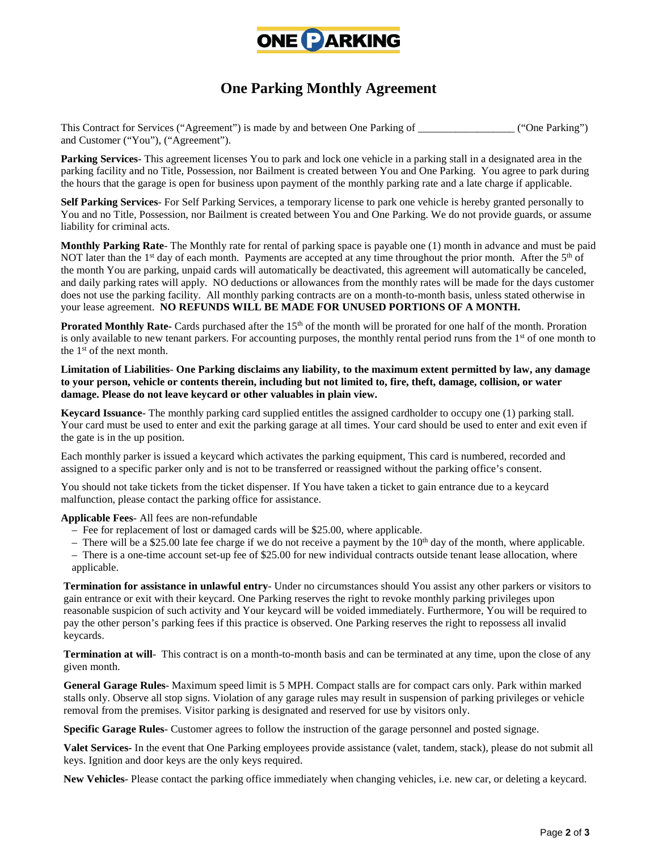

## **One Parking Monthly Agreement**

This Contract for Services ("Agreement") is made by and between One Parking of  $($ "One Parking") and Customer ("You"), ("Agreement").

**Parking Services**- This agreement licenses You to park and lock one vehicle in a parking stall in a designated area in the parking facility and no Title, Possession, nor Bailment is created between You and One Parking. You agree to park during the hours that the garage is open for business upon payment of the monthly parking rate and a late charge if applicable.

**Self Parking Services**- For Self Parking Services, a temporary license to park one vehicle is hereby granted personally to You and no Title, Possession, nor Bailment is created between You and One Parking. We do not provide guards, or assume liability for criminal acts.

**Monthly Parking Rate**- The Monthly rate for rental of parking space is payable one (1) month in advance and must be paid NOT later than the 1<sup>st</sup> day of each month. Payments are accepted at any time throughout the prior month. After the 5<sup>th</sup> of the month You are parking, unpaid cards will automatically be deactivated, this agreement will automatically be canceled, and daily parking rates will apply. NO deductions or allowances from the monthly rates will be made for the days customer does not use the parking facility. All monthly parking contracts are on a month-to-month basis, unless stated otherwise in your lease agreement. **NO REFUNDS WILL BE MADE FOR UNUSED PORTIONS OF A MONTH.**

**Prorated Monthly Rate-** Cards purchased after the 15<sup>th</sup> of the month will be prorated for one half of the month. Proration is only available to new tenant parkers. For accounting purposes, the monthly rental period runs from the 1<sup>st</sup> of one month to the 1 st of the next month.

**Limitation of Liabilities**- **One Parking disclaims any liability, to the maximum extent permitted by law, any damage to your person, vehicle or contents therein, including but not limited to, fire, theft, damage, collision, or water damage. Please do not leave keycard or other valuables in plain view.**

**Keycard Issuance**- The monthly parking card supplied entitles the assigned cardholder to occupy one (1) parking stall. Your card must be used to enter and exit the parking garage at all times. Your card should be used to enter and exit even if the gate is in the up position.

Each monthly parker is issued a keycard which activates the parking equipment, This card is numbered, recorded and assigned to a specific parker only and is not to be transferred or reassigned without the parking office's consent.

You should not take tickets from the ticket dispenser. If You have taken a ticket to gain entrance due to a keycard malfunction, please contact the parking office for assistance.

**Applicable Fees**- All fees are non-refundable

- Fee for replacement of lost or damaged cards will be \$25.00, where applicable.
- There will be a \$25.00 late fee charge if we do not receive a payment by the  $10<sup>th</sup>$  day of the month, where applicable.
- There is a one-time account set-up fee of \$25.00 for new individual contracts outside tenant lease allocation, where applicable.

**Termination for assistance in unlawful entry**- Under no circumstances should You assist any other parkers or visitors to gain entrance or exit with their keycard. One Parking reserves the right to revoke monthly parking privileges upon reasonable suspicion of such activity and Your keycard will be voided immediately. Furthermore, You will be required to pay the other person's parking fees if this practice is observed. One Parking reserves the right to repossess all invalid keycards.

**Termination at will**- This contract is on a month-to-month basis and can be terminated at any time, upon the close of any given month.

**General Garage Rules**- Maximum speed limit is 5 MPH. Compact stalls are for compact cars only. Park within marked stalls only. Observe all stop signs. Violation of any garage rules may result in suspension of parking privileges or vehicle removal from the premises. Visitor parking is designated and reserved for use by visitors only.

**Specific Garage Rules**- Customer agrees to follow the instruction of the garage personnel and posted signage.

**Valet Services-** In the event that One Parking employees provide assistance (valet, tandem, stack), please do not submit all keys. Ignition and door keys are the only keys required.

**New Vehicles**- Please contact the parking office immediately when changing vehicles, i.e. new car, or deleting a keycard.